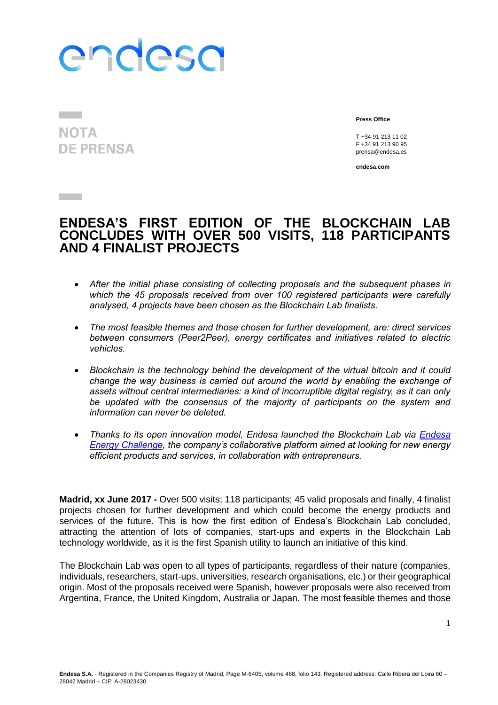# endesa

**NOTA DE PRENSA** 

**Contract** 

**Press Office**

T +34 91 213 11 02 F +34 91 213 90 95 prensa@endesa.es

**endesa.com**

### **ENDESA'S FIRST EDITION OF THE BLOCKCHAIN LAB CONCLUDES WITH OVER 500 VISITS, 118 PARTICIPANTS AND 4 FINALIST PROJECTS**

- *After the initial phase consisting of collecting proposals and the subsequent phases in which the 45 proposals received from over 100 registered participants were carefully analysed, 4 projects have been chosen as the Blockchain Lab finalists.*
- *The most feasible themes and those chosen for further development, are: direct services between consumers (Peer2Peer), energy certificates and initiatives related to electric vehicles.*
- *Blockchain is the technology behind the development of the virtual bitcoin and it could change the way business is carried out around the world by enabling the exchange of assets without central intermediaries: a kind of incorruptible digital registry, as it can only be updated with the consensus of the majority of participants on the system and information can never be deleted.*
- *Thanks to its open innovation model, Endesa launched the Blockchain Lab via [Endesa](http://www.endesaenergychallenges.com/es/)  [Energy Challenge,](http://www.endesaenergychallenges.com/es/) the company's collaborative platform aimed at looking for new energy efficient products and services, in collaboration with entrepreneurs.*

**Madrid, xx June 2017 -** Over 500 visits; 118 participants; 45 valid proposals and finally, 4 finalist projects chosen for further development and which could become the energy products and services of the future. This is how the first edition of Endesa's Blockchain Lab concluded, attracting the attention of lots of companies, start-ups and experts in the Blockchain Lab technology worldwide, as it is the first Spanish utility to launch an initiative of this kind.

The Blockchain Lab was open to all types of participants, regardless of their nature (companies, individuals, researchers, start-ups, universities, research organisations, etc.) or their geographical origin. Most of the proposals received were Spanish, however proposals were also received from Argentina, France, the United Kingdom, Australia or Japan. The most feasible themes and those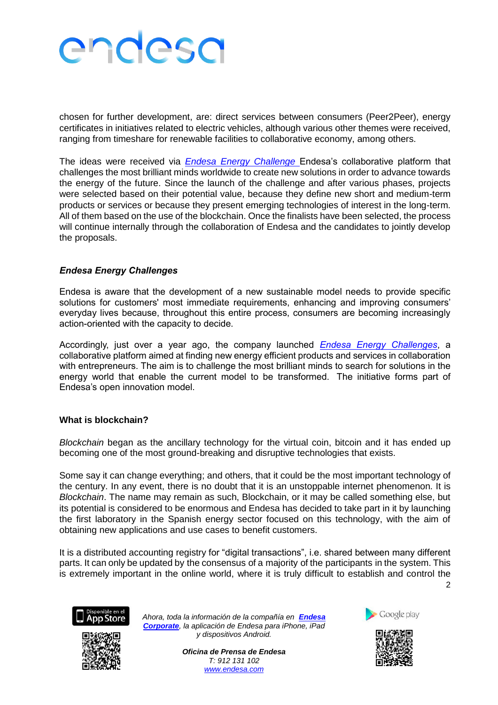## endesa

chosen for further development, are: direct services between consumers (Peer2Peer), energy certificates in initiatives related to electric vehicles, although various other themes were received, ranging from timeshare for renewable facilities to collaborative economy, among others.

The ideas were received via *[Endesa Energy Challenge](http://www.endesaenergychallenges.com/es/)* Endesa's collaborative platform that challenges the most brilliant minds worldwide to create new solutions in order to advance towards the energy of the future. Since the launch of the challenge and after various phases, projects were selected based on their potential value, because they define new short and medium-term products or services or because they present emerging technologies of interest in the long-term. All of them based on the use of the blockchain. Once the finalists have been selected, the process will continue internally through the collaboration of Endesa and the candidates to jointly develop the proposals.

### *Endesa Energy Challenges*

Endesa is aware that the development of a new sustainable model needs to provide specific solutions for customers' most immediate requirements, enhancing and improving consumers' everyday lives because, throughout this entire process, consumers are becoming increasingly action-oriented with the capacity to decide.

Accordingly, just over a year ago, the company launched *[Endesa Energy Challenges](http://www.endesaenergychallenges.com/es/)*, a collaborative platform aimed at finding new energy efficient products and services in collaboration with entrepreneurs. The aim is to challenge the most brilliant minds to search for solutions in the energy world that enable the current model to be transformed. The initiative forms part of Endesa's open innovation model.

#### **What is blockchain?**

*Blockchain* began as the ancillary technology for the virtual coin, bitcoin and it has ended up becoming one of the most ground-breaking and disruptive technologies that exists.

Some say it can change everything; and others, that it could be the most important technology of the century. In any event, there is no doubt that it is an unstoppable internet phenomenon. It is *Blockchain*. The name may remain as such, Blockchain, or it may be called something else, but its potential is considered to be enormous and Endesa has decided to take part in it by launching the first laboratory in the Spanish energy sector focused on this technology, with the aim of obtaining new applications and use cases to benefit customers.

It is a distributed accounting registry for "digital transactions", i.e. shared between many different parts. It can only be updated by the consensus of a majority of the participants in the system. This is extremely important in the online world, where it is truly difficult to establish and control the



*Ahora, toda la información de la compañía en [Endesa](http://www.endesa.com/es/saladeprensa/market)  [Corporate](http://www.endesa.com/es/saladeprensa/market), la aplicación de Endesa para iPhone, iPad y dispositivos Android.*

> *Oficina de Prensa de Endesa T: 912 131 102 [www.endesa.com](http://www.endesa.com/)*



2